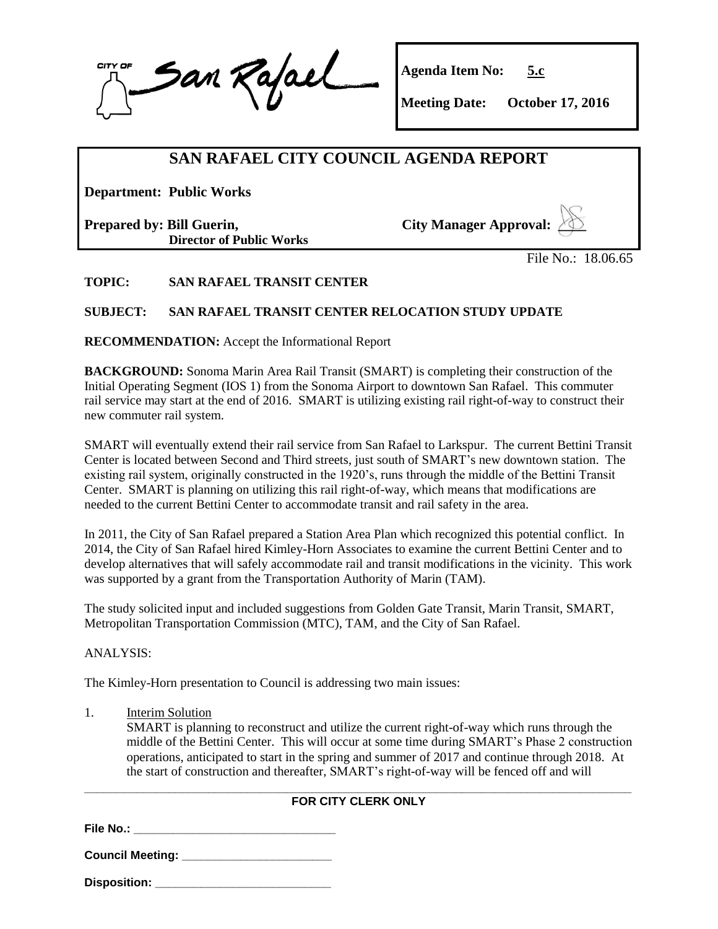San Rajael CITY OI

**Agenda Item No: 5.c**

**Meeting Date: October 17, 2016**

# **SAN RAFAEL CITY COUNCIL AGENDA REPORT**

**Department: Public Works**

**Prepared by: Bill Guerin, Director of Public Works**  **City Manager Approval: \_\_\_\_**

File No.: 18.06.65

**TOPIC: SAN RAFAEL TRANSIT CENTER**

## **SUBJECT: SAN RAFAEL TRANSIT CENTER RELOCATION STUDY UPDATE**

**RECOMMENDATION:** Accept the Informational Report

**BACKGROUND:** Sonoma Marin Area Rail Transit (SMART) is completing their construction of the Initial Operating Segment (IOS 1) from the Sonoma Airport to downtown San Rafael. This commuter rail service may start at the end of 2016. SMART is utilizing existing rail right-of-way to construct their new commuter rail system.

SMART will eventually extend their rail service from San Rafael to Larkspur. The current Bettini Transit Center is located between Second and Third streets, just south of SMART's new downtown station. The existing rail system, originally constructed in the 1920's, runs through the middle of the Bettini Transit Center. SMART is planning on utilizing this rail right-of-way, which means that modifications are needed to the current Bettini Center to accommodate transit and rail safety in the area.

In 2011, the City of San Rafael prepared a Station Area Plan which recognized this potential conflict. In 2014, the City of San Rafael hired Kimley-Horn Associates to examine the current Bettini Center and to develop alternatives that will safely accommodate rail and transit modifications in the vicinity. This work was supported by a grant from the Transportation Authority of Marin (TAM).

The study solicited input and included suggestions from Golden Gate Transit, Marin Transit, SMART, Metropolitan Transportation Commission (MTC), TAM, and the City of San Rafael.

ANALYSIS:

The Kimley-Horn presentation to Council is addressing two main issues:

1. Interim Solution

SMART is planning to reconstruct and utilize the current right-of-way which runs through the middle of the Bettini Center. This will occur at some time during SMART's Phase 2 construction operations, anticipated to start in the spring and summer of 2017 and continue through 2018. At the start of construction and thereafter, SMART's right-of-way will be fenced off and will

#### **\_\_\_\_\_\_\_\_\_\_\_\_\_\_\_\_\_\_\_\_\_\_\_\_\_\_\_\_\_\_\_\_\_\_\_\_\_\_\_\_\_\_\_\_\_\_\_\_\_\_\_\_\_\_\_\_\_\_\_\_\_\_\_\_\_\_\_\_\_\_\_\_\_\_\_\_\_\_\_\_\_\_\_\_ FOR CITY CLERK ONLY**

**File No.: \_\_\_\_\_\_\_\_\_\_\_\_\_\_\_\_\_\_\_\_\_\_\_\_\_\_\_\_\_\_\_**

**Council Meeting: \_\_\_\_\_\_\_\_\_\_\_\_\_\_\_\_\_\_\_\_\_\_\_**

**Disposition: \_\_\_\_\_\_\_\_\_\_\_\_\_\_\_\_\_\_\_\_\_\_\_\_\_\_\_**